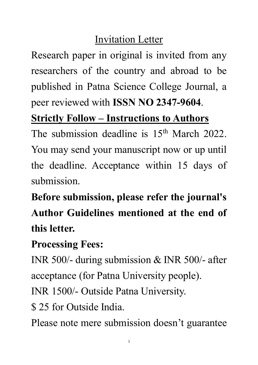# Invitation Letter

Research paper in original is invited from any researchers of the country and abroad to be published in Patna Science College Journal, a peer reviewed with **ISSN NO 2347-9604**.

# **Strictly Follow – Instructions to Authors**

The submission deadline is 15<sup>th</sup> March 2022. You may send your manuscript now or up until the deadline. Acceptance within 15 days of submission.

**Before submission, please refer the journal's Author Guidelines mentioned at the end of this letter.**

### **Processing Fees:**

INR 500/- during submission & INR 500/- after acceptance (for Patna University people).

INR 1500/- Outside Patna University.

\$ 25 for Outside India.

Please note mere submission doesn't guarantee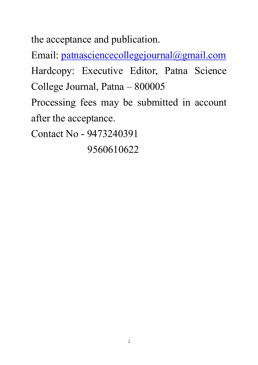the acceptance and publication.

Email: [patnasciencecollegejournal@gmail.com](mailto:patnasciencecollegejournal@gmail.com) Hardcopy: Executive Editor, Patna Science College Journal, Patna – 800005

Processing fees may be submitted in account after the acceptance.

Contact No - 9473240391

9560610622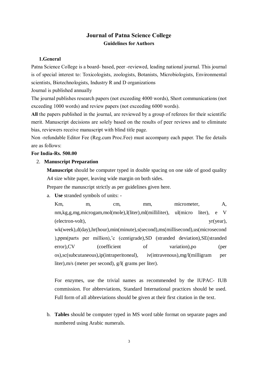### **Journal of Patna Science College Guidelines for Authors**

#### **1.General**

Patna Science College is a board- based, peer -reviewed, leading national journal. This journal is of special interest to: Toxicologists, zoologists, Botanists, Microbiologists, Environmental scientists, Biotechnologists, Industry R and D organizations

Journal is published annually

The journal publishes research papers (not exceeding 4000 words), Short communications (not exceeding 1000 words) and review papers (not exceeding 6000 words).

**All** the papers published in the journal, are reviewed by a group of referees for their scientific merit. Manuscript decisions are solely based on the results of peer reviews and to eliminate bias, reviewers receive manuscript with blind title page.

Non -refundable Editor Fee (Reg.cum Proc.Fee) must accompany each paper. The fee details are as follows:

#### **For India-Rs. 500.00**

#### 2. **Manuscript Preparation**

**Manuscript** should be computer typed in double spacing on one side of good quality A4 size white paper, leaving wide margin on both sides.

Prepare the manuscript strictly as per guidelines given here.

a. **Use** stranded symbols of units: -

Km, m, cm, mm, micrometer, A, nm,kg,g,mg,microgam,mol(mole),l(liter),ml(milliliter), ul(micro liter), e V (electron-volt), yr(year), wk(week),d(day),hr(hour),min(minute),s(second),ms(millisecond),us(microsecond ),ppm(parts per million),'c (centigrade),SD (stranded deviation),SE(stranded error),CV (coefficient of variation),po (per os),sc(subcutaneous),ip(intraperitoneal), iv(intravenous),mg/l(milligram per liter),m/s (meter per second), g/l( grams per liter).

For enzymes, use the trivial names as recommended by the IUPAC- IUB commission. For abbreviations, Standard International practices should be used. Full form of all abbreviations should be given at their first citation in the text.

b. **Tables** should be computer typed in MS word table format on separate pages and numbered using Arabic numerals.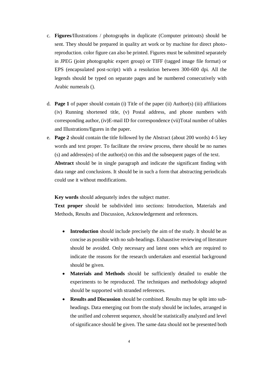- c. **Figures**/Illustrations / photographs in duplicate (Computer printouts) should be sent. They should be prepared in quality art work or by machine for direct photoreproduction. color figure can also be printed. Figures must be submitted separately in JPEG (joint photographic expert group) or TIFF (tagged image file format) or EPS (encapsulated post-script) with a resolution between 300-600 dpi. All the legends should be typed on separate pages and be numbered consecutively with Arabic numerals ().
- d. **Page 1** of paper should contain (i) Title of the paper (ii) Author(s) (iii) affiliations (iv) Running shortened title, (v) Postal address, and phone numbers with corresponding author, (iv)E-mail ID for correspondence (vii)Total number of tables and Illustrations/figures in the paper.
- e. **Page 2** should contain the title followed by the Abstract (about 200 words) 4-5 key words and text proper. To facilitate the review process, there should be no names (s) and address(es) of the author(s) on this and the subsequent pages of the text. **Abstract** should be in single paragraph and indicate the significant finding with data range and conclusions. It should be in such a form that abstracting periodicals could use it without modifications.

**Key words** should adequately index the subject matter.

**Text proper** should be subdivided into sections: Introduction, Materials and Methods, Results and Discussion, Acknowledgement and references.

- **Introduction** should include precisely the aim of the study. It should be as concise as possible with no sub-headings. Exhaustive reviewing of literature should be avoided. Only necessary and latest ones which are required to indicate the reasons for the research undertaken and essential background should be given.
- **Materials and Methods** should be sufficiently detailed to enable the experiments to be reproduced. The techniques and methodology adopted should be supported with stranded references.
- **Results and Discussion** should be combined. Results may be split into subheadings. Data emerging out from the study should be includes, arranged in the unified and coherent sequence, should be statistically analyzed and level of significance should be given. The same data should not be presented both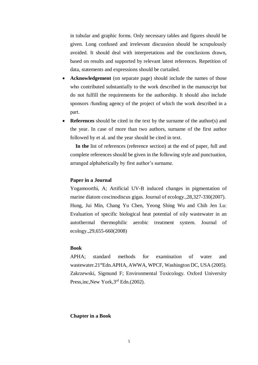in tubular and graphic forms. Only necessary tables and figures should be given. Long confused and irrelevant discussion should be scrupulously avoided. It should deal with interpretations and the conclusions drawn, based on results and supported by relevant latest references. Repetition of data, statements and expressions should be curtailed.

- **Acknowledgement** (on separate page) should include the names of those who contributed substantially to the work described in the manuscript but do not fulfill the requirements for the authorship. It should also include sponsors /funding agency of the project of which the work described in a part.
- **References** should be cited in the text by the surname of the author(s) and the year. In case of more than two authors, surname of the first author followed by et al. and the year should be cited in text.

 **In the** list of references (reference section) at the end of paper, full and complete references should be given in the following style and punctuation, arranged alphabetically by first author's surname.

#### **Paper in a Journal**

Yogamoorthi, A; Artificial UV-B induced changes in pigmentation of marine diatom coscinodiscus gigas. Journal of ecology.,28,327-330(2007). Hung, Jui Min, Chang Yu Chen, Yeong Shing Wu and Chih Jen Lu: Evaluation of specific biological heat potential of oily wastewater in an autothermal thermophilic aerobic treatment system. Journal of ecology.,29,655-660(2008)

#### **Book**

APHA; standard methods for examination of water and wastewater.21<sup>st</sup>Edn.APHA, AWWA, WPCF, Washington DC, USA (2005). Zakrzewski, Sigmund F; Environmental Toxicology. Oxford University Press, inc, New York, 3<sup>rd</sup> Edn. (2002).

#### **Chapter in a Book**